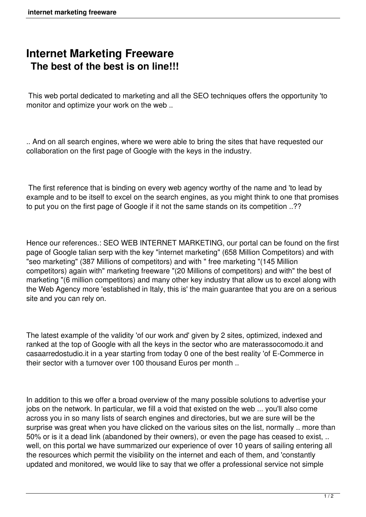## **Internet Marketing Freeware The best of the best is on line!!!**

 This web portal dedicated to marketing and all the SEO techniques offers the opportunity 'to monitor and optimize your work on the web ..

.. And on all search engines, where we were able to bring the sites that have requested our collaboration on the first page of Google with the keys in the industry.

 The first reference that is binding on every web agency worthy of the name and 'to lead by example and to be itself to excel on the search engines, as you might think to one that promises to put you on the first page of Google if it not the same stands on its competition ..??

Hence our references.: SEO WEB INTERNET MARKETING, our portal can be found on the first page of Google talian serp with the key "internet marketing" (658 Million Competitors) and with "seo marketing" (387 Millions of competitors) and with " free marketing "(145 Million competitors) again with" marketing freeware "(20 Millions of competitors) and with" the best of marketing "(6 million competitors) and many other key industry that allow us to excel along with the Web Agency more 'established in Italy, this is' the main guarantee that you are on a serious site and you can rely on.

The latest example of the validity 'of our work and' given by 2 sites, optimized, indexed and ranked at the top of Google with all the keys in the sector who are materassocomodo.it and casaarredostudio.it in a year starting from today 0 one of the best reality 'of E-Commerce in their sector with a turnover over 100 thousand Euros per month ..

In addition to this we offer a broad overview of the many possible solutions to advertise your jobs on the network. In particular, we fill a void that existed on the web ... you'll also come across you in so many lists of search engines and directories, but we are sure will be the surprise was great when you have clicked on the various sites on the list, normally .. more than 50% or is it a dead link (abandoned by their owners), or even the page has ceased to exist, .. well, on this portal we have summarized our experience of over 10 years of sailing entering all the resources which permit the visibility on the internet and each of them, and 'constantly updated and monitored, we would like to say that we offer a professional service not simple